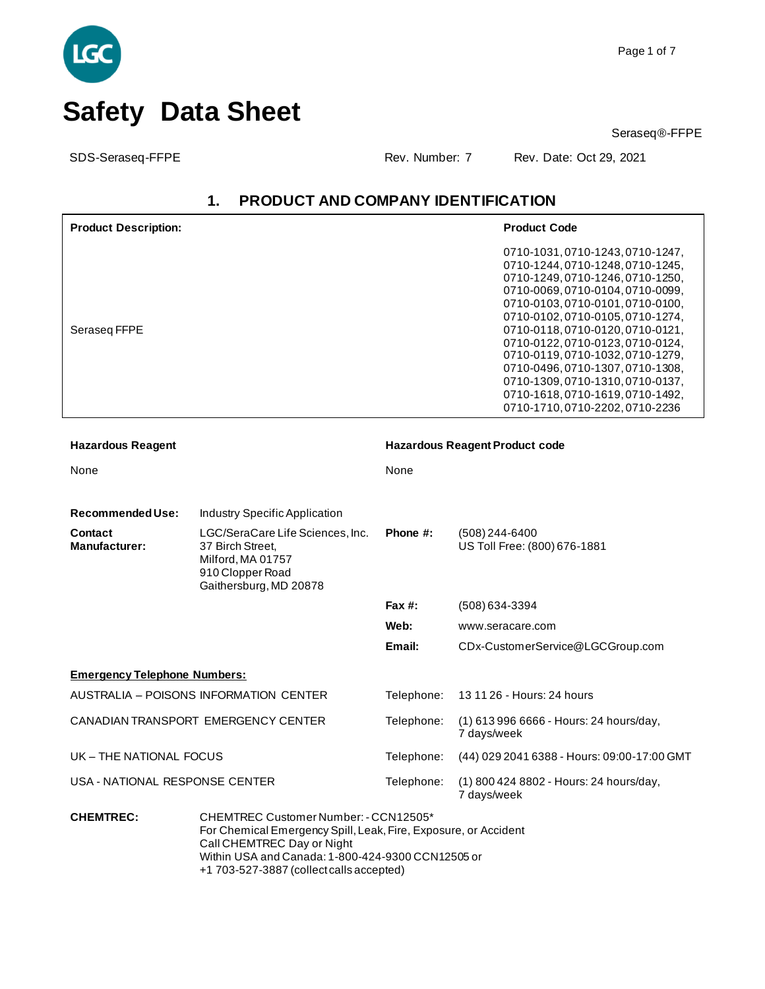

 $\overline{\phantom{a}}$ 

SDS-Seraseq-FFPE Rev. Number: 7 Rev. Date: Oct 29, 2021

## **1. PRODUCT AND COMPANY IDENTIFICATION**

| <b>Product Description:</b>                                       |                                                                                                                                                                                                                                         |            | <b>Product Code</b>                                                                                                                                                                                                                                                                                                                                                                                                                                                             |
|-------------------------------------------------------------------|-----------------------------------------------------------------------------------------------------------------------------------------------------------------------------------------------------------------------------------------|------------|---------------------------------------------------------------------------------------------------------------------------------------------------------------------------------------------------------------------------------------------------------------------------------------------------------------------------------------------------------------------------------------------------------------------------------------------------------------------------------|
| Seraseq FFPE                                                      |                                                                                                                                                                                                                                         |            | 0710-1031, 0710-1243, 0710-1247,<br>0710-1244, 0710-1248, 0710-1245,<br>0710-1249, 0710-1246, 0710-1250,<br>0710-0069, 0710-0104, 0710-0099,<br>0710-0103, 0710-0101, 0710-0100,<br>0710-0102, 0710-0105, 0710-1274,<br>0710-0118, 0710-0120, 0710-0121,<br>0710-0122, 0710-0123, 0710-0124,<br>0710-0119, 0710-1032, 0710-1279,<br>0710-0496, 0710-1307, 0710-1308,<br>0710-1309, 0710-1310, 0710-0137,<br>0710-1618, 0710-1619, 0710-1492,<br>0710-1710, 0710-2202, 0710-2236 |
| <b>Hazardous Reagent</b><br><b>Hazardous Reagent Product code</b> |                                                                                                                                                                                                                                         |            |                                                                                                                                                                                                                                                                                                                                                                                                                                                                                 |
| None                                                              |                                                                                                                                                                                                                                         | None       |                                                                                                                                                                                                                                                                                                                                                                                                                                                                                 |
| <b>Recommended Use:</b>                                           |                                                                                                                                                                                                                                         |            |                                                                                                                                                                                                                                                                                                                                                                                                                                                                                 |
| <b>Contact</b><br><b>Manufacturer:</b>                            | <b>Industry Specific Application</b><br>LGC/SeraCare Life Sciences, Inc.<br>37 Birch Street,<br>Milford, MA 01757                                                                                                                       | Phone #:   | $(508)$ 244-6400<br>US Toll Free: (800) 676-1881                                                                                                                                                                                                                                                                                                                                                                                                                                |
|                                                                   | 910 Clopper Road<br>Gaithersburg, MD 20878                                                                                                                                                                                              |            |                                                                                                                                                                                                                                                                                                                                                                                                                                                                                 |
|                                                                   |                                                                                                                                                                                                                                         | Fax $#$ :  | $(508)$ 634-3394                                                                                                                                                                                                                                                                                                                                                                                                                                                                |
|                                                                   |                                                                                                                                                                                                                                         | Web:       | www.seracare.com                                                                                                                                                                                                                                                                                                                                                                                                                                                                |
|                                                                   |                                                                                                                                                                                                                                         | Email:     | CDx-CustomerService@LGCGroup.com                                                                                                                                                                                                                                                                                                                                                                                                                                                |
| <b>Emergency Telephone Numbers:</b>                               |                                                                                                                                                                                                                                         |            |                                                                                                                                                                                                                                                                                                                                                                                                                                                                                 |
|                                                                   | AUSTRALIA - POISONS INFORMATION CENTER                                                                                                                                                                                                  | Telephone: | 13 11 26 - Hours: 24 hours                                                                                                                                                                                                                                                                                                                                                                                                                                                      |
| CANADIAN TRANSPORT EMERGENCY CENTER                               |                                                                                                                                                                                                                                         | Telephone: | (1) 613 996 6666 - Hours: 24 hours/day,<br>7 days/week                                                                                                                                                                                                                                                                                                                                                                                                                          |
| UK - THE NATIONAL FOCUS                                           |                                                                                                                                                                                                                                         | Telephone: | (44) 029 2041 6388 - Hours: 09:00-17:00 GMT                                                                                                                                                                                                                                                                                                                                                                                                                                     |
| USA - NATIONAL RESPONSE CENTER                                    |                                                                                                                                                                                                                                         | Telephone: | (1) 800 424 8802 - Hours: 24 hours/day,<br>7 days/week                                                                                                                                                                                                                                                                                                                                                                                                                          |
| <b>CHEMTREC:</b>                                                  | CHEMTREC Customer Number: - CCN12505*<br>For Chemical Emergency Spill, Leak, Fire, Exposure, or Accident<br>Call CHEMTREC Day or Night<br>Within USA and Canada: 1-800-424-9300 CCN12505 or<br>+1 703-527-3887 (collect calls accepted) |            |                                                                                                                                                                                                                                                                                                                                                                                                                                                                                 |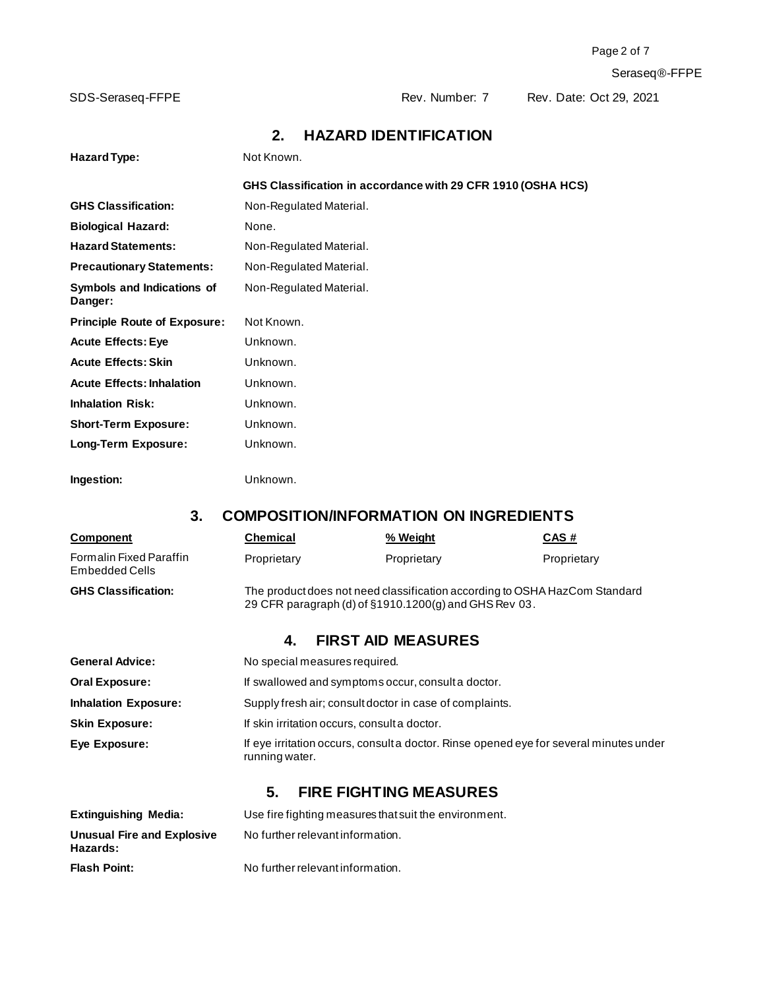Page 2 of 7

Seraseq®-FFPE

SDS-Seraseq-FFPE Rev. Number: 7 Rev. Date: Oct 29, 2021

# **2. HAZARD IDENTIFICATION**

| Hazard Type:                                            | Not Known.                                                                                               |                                                                                                                                     |             |
|---------------------------------------------------------|----------------------------------------------------------------------------------------------------------|-------------------------------------------------------------------------------------------------------------------------------------|-------------|
|                                                         |                                                                                                          | GHS Classification in accordance with 29 CFR 1910 (OSHA HCS)                                                                        |             |
| <b>GHS Classification:</b>                              | Non-Regulated Material.                                                                                  |                                                                                                                                     |             |
| <b>Biological Hazard:</b>                               | None.                                                                                                    |                                                                                                                                     |             |
| <b>Hazard Statements:</b>                               | Non-Regulated Material.                                                                                  |                                                                                                                                     |             |
| <b>Precautionary Statements:</b>                        | Non-Regulated Material.                                                                                  |                                                                                                                                     |             |
| Symbols and Indications of<br>Danger:                   | Non-Regulated Material.                                                                                  |                                                                                                                                     |             |
| <b>Principle Route of Exposure:</b>                     | Not Known.                                                                                               |                                                                                                                                     |             |
| <b>Acute Effects: Eye</b>                               | Unknown.                                                                                                 |                                                                                                                                     |             |
| <b>Acute Effects: Skin</b>                              | Unknown.                                                                                                 |                                                                                                                                     |             |
| <b>Acute Effects: Inhalation</b>                        | Unknown.                                                                                                 |                                                                                                                                     |             |
| <b>Inhalation Risk:</b>                                 | Unknown.                                                                                                 |                                                                                                                                     |             |
| <b>Short-Term Exposure:</b>                             | Unknown.                                                                                                 |                                                                                                                                     |             |
| Long-Term Exposure:                                     | Unknown.                                                                                                 |                                                                                                                                     |             |
| Ingestion:                                              | Unknown.                                                                                                 |                                                                                                                                     |             |
| 3.                                                      |                                                                                                          | <b>COMPOSITION/INFORMATION ON INGREDIENTS</b>                                                                                       |             |
| <b>Component</b>                                        | <b>Chemical</b>                                                                                          | % Weight                                                                                                                            | <b>CAS#</b> |
| <b>Formalin Fixed Paraffin</b><br><b>Embedded Cells</b> | Proprietary                                                                                              | Proprietary                                                                                                                         | Proprietary |
| <b>GHS Classification:</b>                              |                                                                                                          | The product does not need classification according to OSHA HazCom Standard<br>29 CFR paragraph (d) of §1910.1200(g) and GHS Rev 03. |             |
| <b>FIRST AID MEASURES</b><br>4.                         |                                                                                                          |                                                                                                                                     |             |
| <b>General Advice:</b>                                  | No special measures required.                                                                            |                                                                                                                                     |             |
| <b>Oral Exposure:</b>                                   | If swallowed and symptoms occur, consult a doctor.                                                       |                                                                                                                                     |             |
| <b>Inhalation Exposure:</b>                             | Supply fresh air; consult doctor in case of complaints.                                                  |                                                                                                                                     |             |
| <b>Skin Exposure:</b>                                   | If skin irritation occurs, consult a doctor.                                                             |                                                                                                                                     |             |
| Eye Exposure:                                           | If eye irritation occurs, consult a doctor. Rinse opened eye for several minutes under<br>running water. |                                                                                                                                     |             |
| <b>FIRE FIGHTING MEASURES</b><br>5.                     |                                                                                                          |                                                                                                                                     |             |
| <b>Extinguishing Media:</b>                             |                                                                                                          | Use fire fighting measures that suit the environment.                                                                               |             |
| <b>Unusual Fire and Explosive</b><br>Hazards:           | No further relevant information.                                                                         |                                                                                                                                     |             |
| <b>Flash Point:</b>                                     | No further relevant information.                                                                         |                                                                                                                                     |             |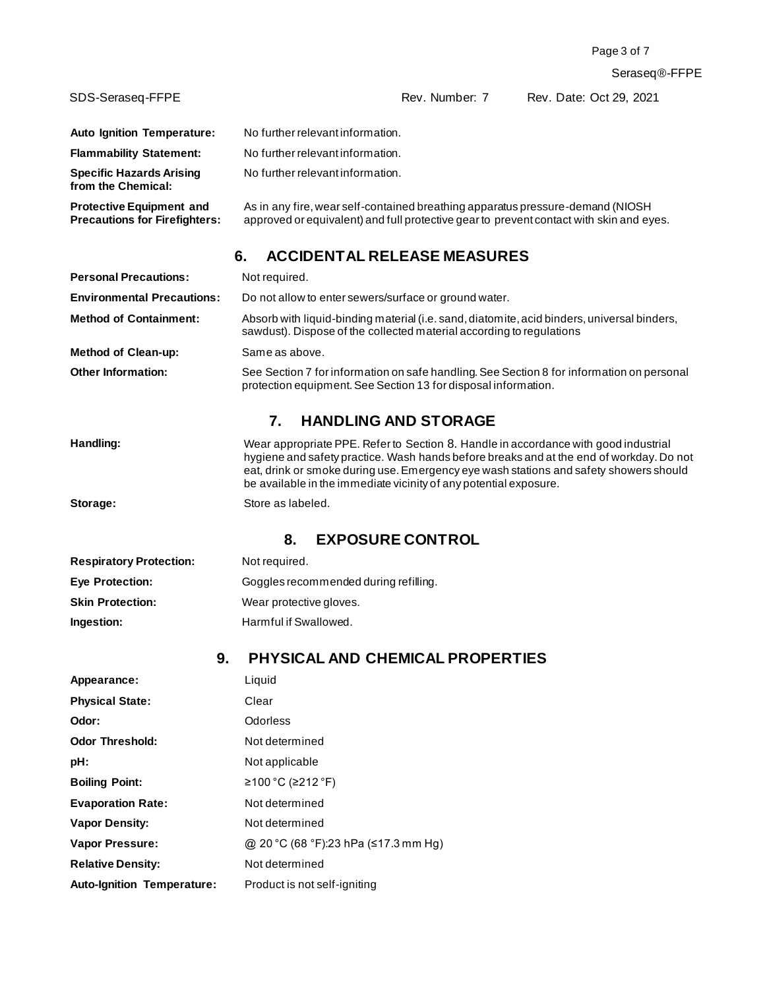| SDS-Seraseg-FFPE                                                        | Rev. Number: 7<br>Rev. Date: Oct 29, 2021                                                                                                                                  |
|-------------------------------------------------------------------------|----------------------------------------------------------------------------------------------------------------------------------------------------------------------------|
| <b>Auto Ignition Temperature:</b>                                       | No further relevant information.                                                                                                                                           |
| <b>Flammability Statement:</b>                                          | No further relevant information.                                                                                                                                           |
| <b>Specific Hazards Arising</b><br>from the Chemical:                   | No further relevant information.                                                                                                                                           |
| <b>Protective Equipment and</b><br><b>Precautions for Firefighters:</b> | As in any fire, wear self-contained breathing apparatus pressure-demand (NIOSH)<br>approved or equivalent) and full protective gear to prevent contact with skin and eyes. |

## **6. ACCIDENTAL RELEASE MEASURES**

| <b>Personal Precautions:</b>      | Not required.                                                                                                                                                       |
|-----------------------------------|---------------------------------------------------------------------------------------------------------------------------------------------------------------------|
| <b>Environmental Precautions:</b> | Do not allow to enter sewers/surface or ground water.                                                                                                               |
| <b>Method of Containment:</b>     | Absorb with liquid-binding material (i.e. sand, diatomite, acid binders, universal binders,<br>sawdust). Dispose of the collected material according to regulations |
| <b>Method of Clean-up:</b>        | Same as above.                                                                                                                                                      |
| <b>Other Information:</b>         | See Section 7 for information on safe handling. See Section 8 for information on personal<br>protection equipment. See Section 13 for disposal information.         |

## **7. HANDLING AND STORAGE**

**Handling:** Wear appropriate PPE. Refer to Section 8. Handle in accordance with good industrial hygiene and safety practice. Wash hands before breaks and at the end of workday. Do not eat, drink or smoke during use. Emergency eye wash stations and safety showers should

**Storage:** Store as labeled.

## **8. EXPOSURE CONTROL**

be available in the immediate vicinity of any potential exposure.

| <b>Respiratory Protection:</b> | Not required.                         |
|--------------------------------|---------------------------------------|
| <b>Eye Protection:</b>         | Goggles recommended during refilling. |
| <b>Skin Protection:</b>        | Wear protective gloves.               |
| Ingestion:                     | Harmful if Swallowed.                 |

# **9. PHYSICAL AND CHEMICAL PROPERTIES**

| Appearance:                       | Liquid                               |
|-----------------------------------|--------------------------------------|
| <b>Physical State:</b>            | Clear                                |
| Odor:                             | Odorless                             |
| <b>Odor Threshold:</b>            | Not determined                       |
| pH:                               | Not applicable                       |
| <b>Boiling Point:</b>             | ≥100 °C (≥212 °F)                    |
| <b>Evaporation Rate:</b>          | Not determined                       |
| <b>Vapor Density:</b>             | Not determined                       |
| <b>Vapor Pressure:</b>            | @ 20 °C (68 °F):23 hPa (≤17.3 mm Hg) |
| <b>Relative Density:</b>          | Not determined                       |
| <b>Auto-Ignition Temperature:</b> | Product is not self-igniting         |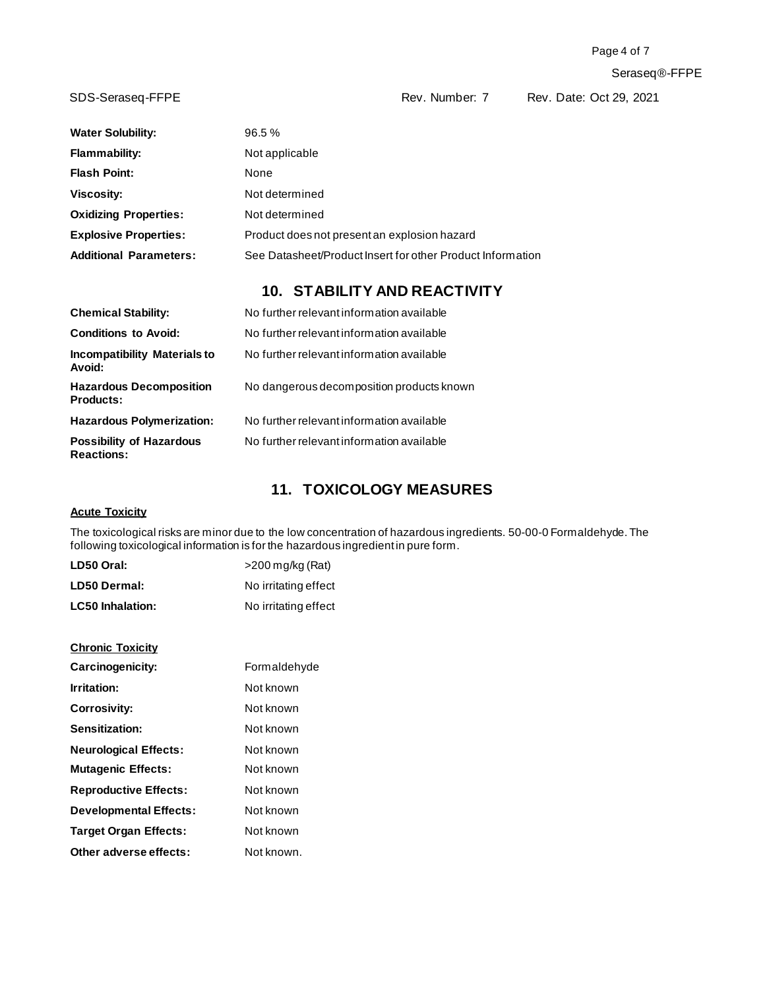SDS-Seraseq-FFPE Rev. Number: 7 Rev. Date: Oct 29, 2021

| <b>Water Solubility:</b>      | $96.5 \%$                                                  |
|-------------------------------|------------------------------------------------------------|
| <b>Flammability:</b>          | Not applicable                                             |
| <b>Flash Point:</b>           | None                                                       |
| Viscosity:                    | Not determined                                             |
| <b>Oxidizing Properties:</b>  | Not determined                                             |
| <b>Explosive Properties:</b>  | Product does not present an explosion hazard               |
| <b>Additional Parameters:</b> | See Datasheet/Product Insert for other Product Information |
|                               |                                                            |

# **10. STABILITY AND REACTIVITY**

| <b>Chemical Stability:</b>                           | No further relevant information available |
|------------------------------------------------------|-------------------------------------------|
| <b>Conditions to Avoid:</b>                          | No further relevant information available |
| <b>Incompatibility Materials to</b><br>Avoid:        | No further relevant information available |
| <b>Hazardous Decomposition</b><br><b>Products:</b>   | No dangerous decomposition products known |
| <b>Hazardous Polymerization:</b>                     | No further relevant information available |
| <b>Possibility of Hazardous</b><br><b>Reactions:</b> | No further relevant information available |

# **11. TOXICOLOGY MEASURES**

#### **Acute Toxicity**

The toxicological risks are minor due to the low concentration of hazardous ingredients. 50-00-0 Formaldehyde. The following toxicological information is for the hazardous ingredient in pure form.

| LD50 Oral:              | $>$ 200 mg/kg (Rat)  |
|-------------------------|----------------------|
| LD50 Dermal:            | No irritating effect |
| <b>LC50 Inhalation:</b> | No irritating effect |

| <b>Chronic Toxicity</b>       |              |
|-------------------------------|--------------|
| Carcinogenicity:              | Formaldehyde |
| Irritation:                   | Not known    |
| Corrosivity:                  | Not known    |
| Sensitization:                | Not known    |
| <b>Neurological Effects:</b>  | Not known    |
| <b>Mutagenic Effects:</b>     | Not known    |
| <b>Reproductive Effects:</b>  | Not known    |
| <b>Developmental Effects:</b> | Not known    |
| <b>Target Organ Effects:</b>  | Not known    |
| Other adverse effects:        | Not known.   |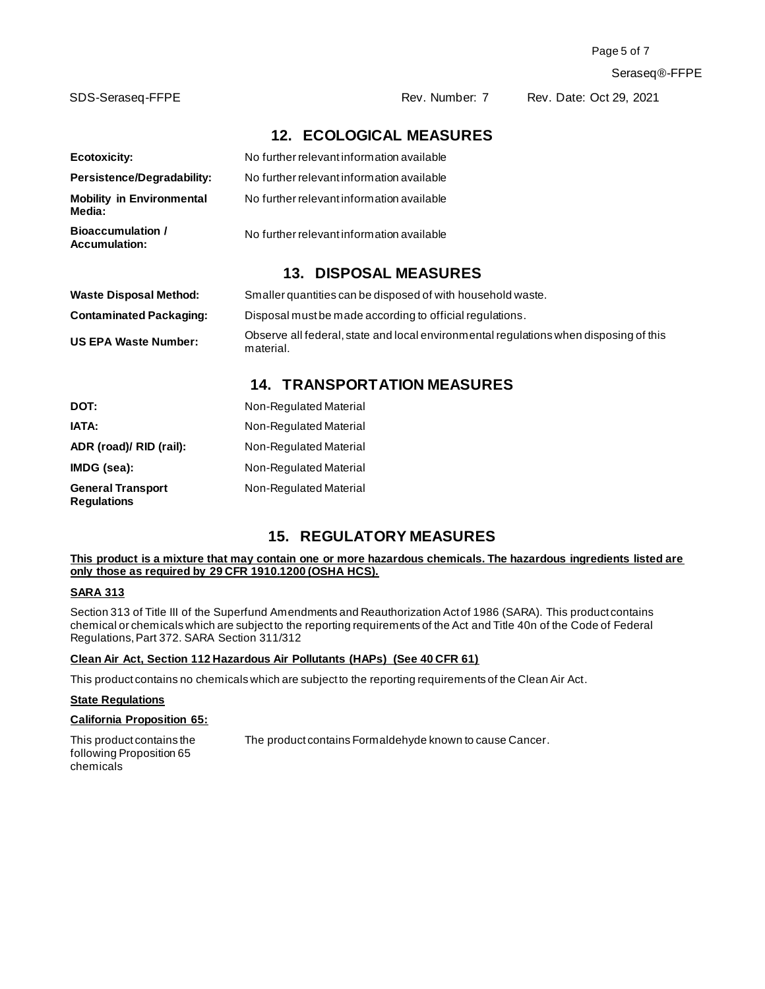Page 5 of 7

Seraseq®-FFPE

SDS-Seraseq-FFPE Rev. Number: 7 Rev. Date: Oct 29, 2021

## **12. ECOLOGICAL MEASURES**

| Ecotoxicity:                                     | No further relevant information available                                                          |  |
|--------------------------------------------------|----------------------------------------------------------------------------------------------------|--|
| <b>Persistence/Degradability:</b>                | No further relevant information available                                                          |  |
| <b>Mobility in Environmental</b><br>Media:       | No further relevant information available                                                          |  |
| <b>Bioaccumulation /</b><br><b>Accumulation:</b> | No further relevant information available                                                          |  |
|                                                  | <b>13. DISPOSAL MEASURES</b>                                                                       |  |
| <b>Waste Disposal Method:</b>                    | Smaller quantities can be disposed of with household waste.                                        |  |
| <b>Contaminated Packaging:</b>                   | Disposal must be made according to official regulations.                                           |  |
| <b>US EPA Waste Number:</b>                      | Observe all federal, state and local environmental regulations when disposing of this<br>material. |  |
|                                                  | <b>14. TRANSPORTATION MEASURES</b>                                                                 |  |
| DOT:                                             | Non-Regulated Material                                                                             |  |
| IATA:                                            | Non-Regulated Material                                                                             |  |
| ADR (road)/ RID (rail):                          | Non-Regulated Material                                                                             |  |
| IMDG (sea):                                      | Non-Regulated Material                                                                             |  |

**General Transport**  Non-Regulated Material

## **15. REGULATORY MEASURES**

**This product is a mixture that may contain one or more hazardous chemicals. The hazardous ingredients listed are only those as required by 29 CFR 1910.1200 (OSHA HCS).**

#### **SARA 313**

**Regulations**

Section 313 of Title III of the Superfund Amendments and Reauthorization Act of 1986 (SARA). This product contains chemical or chemicals which are subject to the reporting requirements of the Act and Title 40n of the Code of Federal Regulations, Part 372. SARA Section 311/312

#### **Clean Air Act, Section 112 Hazardous Air Pollutants (HAPs) (See 40 CFR 61)**

This product contains no chemicals which are subject to the reporting requirements of the Clean Air Act.

#### **State Regulations**

#### **California Proposition 65:**

This product contains the following Proposition 65 chemicals The product contains Formaldehyde known to cause Cancer.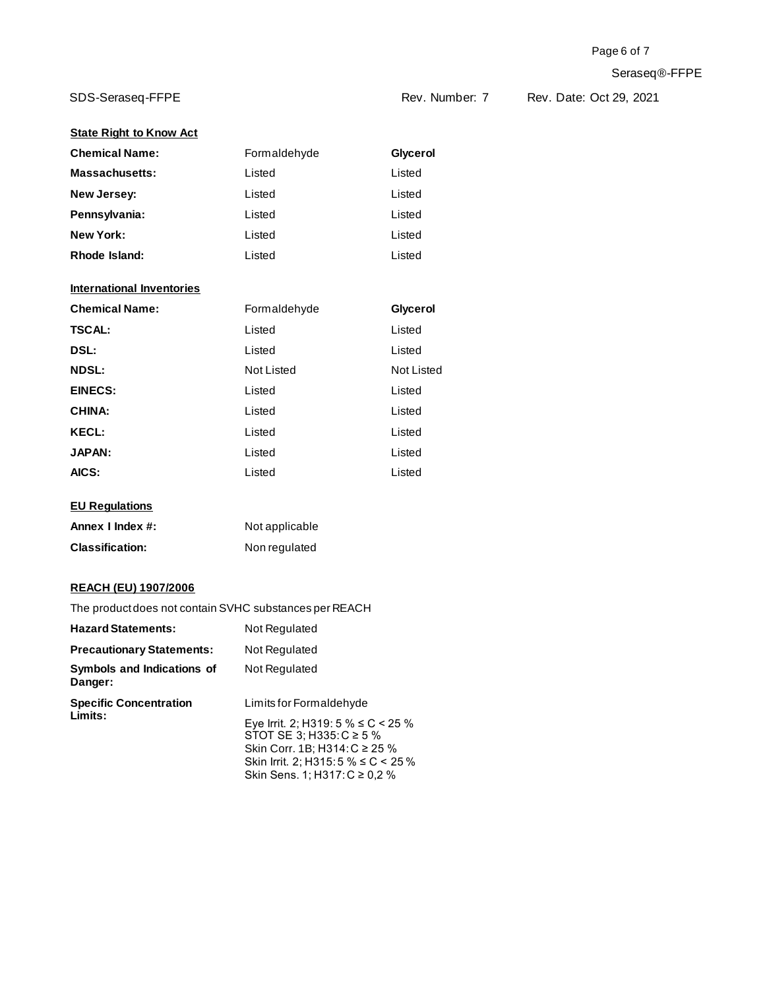SDS-Seraseq-FFPE Rev. Number: 7 Rev. Date: Oct 29, 2021

| <b>State Right to Know Act</b>   |                |            |
|----------------------------------|----------------|------------|
| <b>Chemical Name:</b>            | Formaldehyde   | Glycerol   |
| <b>Massachusetts:</b>            | Listed         | Listed     |
| New Jersey:                      | Listed         | Listed     |
| Pennsylvania:                    | Listed         | Listed     |
| New York:                        | Listed         | Listed     |
| Rhode Island:                    | Listed         | Listed     |
| <b>International Inventories</b> |                |            |
| <b>Chemical Name:</b>            | Formaldehyde   | Glycerol   |
| <b>TSCAL:</b>                    | Listed         | Listed     |
| DSL:                             | Listed         | Listed     |
| <b>NDSL:</b>                     | Not Listed     | Not Listed |
| <b>EINECS:</b>                   | Listed         | Listed     |
| <b>CHINA:</b>                    | Listed         | Listed     |
| <b>KECL:</b>                     | Listed         | Listed     |
| <b>JAPAN:</b>                    | Listed         | Listed     |
| AICS:                            | Listed         | Listed     |
| <b>EU Regulations</b>            |                |            |
| Annex I Index #:                 | Not applicable |            |

| <b>Classification:</b> | Non regulated |
|------------------------|---------------|
|                        |               |

### **REACH (EU) 1907/2006**

| The product does not contain SVHC substances per REACH |                                                                                                                                                                             |
|--------------------------------------------------------|-----------------------------------------------------------------------------------------------------------------------------------------------------------------------------|
| <b>Hazard Statements:</b>                              | Not Regulated                                                                                                                                                               |
| <b>Precautionary Statements:</b>                       | Not Regulated                                                                                                                                                               |
| Symbols and Indications of<br>Danger:                  | Not Regulated                                                                                                                                                               |
| <b>Specific Concentration</b><br>Limits:               | Limits for Formaldehyde                                                                                                                                                     |
|                                                        | Eye Irrit. 2; H319: 5 % ≤ C < 25 %<br>STOT SE 3: H335: $C \ge 5\%$<br>Skin Corr. 1B; H314: C ≥ 25 %<br>Skin Irrit. 2; H315: 5 % ≤ C < 25 %<br>Skin Sens. 1; H317: C ≥ 0.2 % |